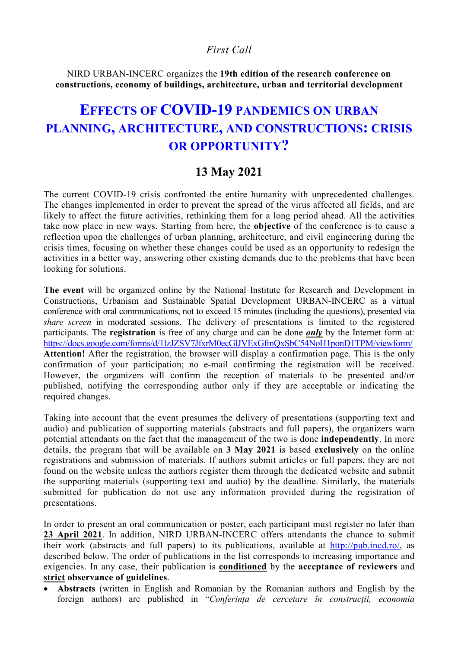# *First Call*

NIRD URBAN-INCERC organizes the **19th edition of the research conference on constructions, economy of buildings, architecture, urban and territorial development** 

# **EFFECTS OF COVID-19 PANDEMICS ON URBAN PLANNING, ARCHITECTURE, AND CONSTRUCTIONS: CRISIS OR OPPORTUNITY?**

# **13 May 2021**

The current COVID-19 crisis confronted the entire humanity with unprecedented challenges. The changes implemented in order to prevent the spread of the virus affected all fields, and are likely to affect the future activities, rethinking them for a long period ahead. All the activities take now place in new ways. Starting from here, the **objective** of the conference is to cause a reflection upon the challenges of urban planning, architecture, and civil engineering during the crisis times, focusing on whether these changes could be used as an opportunity to redesign the activities in a better way, answering other existing demands due to the problems that have been looking for solutions.

**The event** will be organized online by the National Institute for Research and Development in Constructions, Urbanism and Sustainable Spatial Development URBAN-INCERC as a virtual conference with oral communications, not to exceed 15 minutes (including the questions), presented via *share screen* in moderated sessions. The delivery of presentations is limited to the registered participants. The **registration** is free of any charge and can be done *only* by the Internet form at: https://docs.google.com/forms/d/1lzJZSV7JfxrM0ecGlJVExGfmQxSbC54NoH1ponD1TPM/viewform/ **Attention!** After the registration, the browser will display a confirmation page. This is the only confirmation of your participation; no e-mail confirming the registration will be received. However, the organizers will confirm the reception of materials to be presented and/or published, notifying the corresponding author only if they are acceptable or indicating the required changes.

Taking into account that the event presumes the delivery of presentations (supporting text and audio) and publication of supporting materials (abstracts and full papers), the organizers warn potential attendants on the fact that the management of the two is done **independently**. In more details, the program that will be available on **3 May 2021** is based **exclusively** on the online registrations and submission of materials. If authors submit articles or full papers, they are not found on the website unless the authors register them through the dedicated website and submit the supporting materials (supporting text and audio) by the deadline. Similarly, the materials submitted for publication do not use any information provided during the registration of presentations.

In order to present an oral communication or poster, each participant must register no later than **23 April 2021**. In addition, NIRD URBAN-INCERC offers attendants the chance to submit their work (abstracts and full papers) to its publications, available at http://pub.incd.ro/, as described below. The order of publications in the list corresponds to increasing importance and exigencies. In any case, their publication is **conditioned** by the **acceptance of reviewers** and **strict observance of guidelines**.

• **Abstracts** (written in English and Romanian by the Romanian authors and English by the foreign authors) are published in "*Conferinţa de cercetare în construcţii, economia*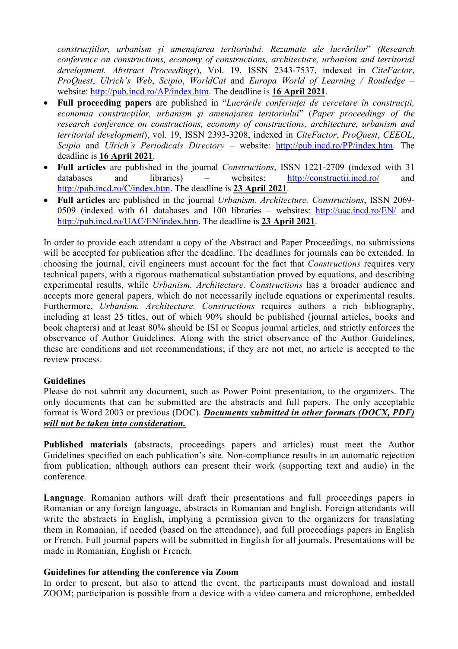*construcţiilor, urbanism şi amenajarea teritoriului. Rezumate ale lucrărilor*" *(Research conference on constructions, economy of constructions, architecture, urbanism and territorial development. Abstract Proceedings*), Vol. 19, ISSN 2343-7537, indexed in *CiteFactor*, *ProQuest*, *Ulrich's Web*, *Scipio*, *WorldCat* and *Europa World of Learning / Routledge* – website: http://pub.incd.ro/AP/index.htm. The deadline is **16 April 2021**.

- **Full proceeding papers** are published in "*Lucrările conferinţei de cercetare în construcţii, economia construcţiilor, urbanism şi amenajarea teritoriului*" (*Paper proceedings of the research conference on constructions, economy of constructions, architecture, urbanism and territorial development*), vol. 19, ISSN 2393-3208, indexed in *CiteFactor*, *ProQuest*, *CEEOL*, *Scipio* and *Ulrich's Periodicals Directory* – website: http://pub.incd.ro/PP/index.htm. The deadline is **16 April 2021**.
- **Full articles** are published in the journal *Constructions*, ISSN 1221-2709 (indexed with 31 databases and libraries) – websites: http://constructii.incd.ro/ and http://pub.incd.ro/C/index.htm. The deadline is **23 April 2021**.
- **Full articles** are published in the journal *Urbanism. Architecture. Constructions*, ISSN 2069- 0509 (indexed with 61 databases and 100 libraries – websites: http://uac.incd.ro/EN/ and http://pub.incd.ro/UAC/EN/index.htm. The deadline is **23 April 2021**.

In order to provide each attendant a copy of the Abstract and Paper Proceedings, no submissions will be accepted for publication after the deadline. The deadlines for journals can be extended. In choosing the journal, civil engineers must account for the fact that *Constructions* requires very technical papers, with a rigorous mathematical substantiation proved by equations, and describing experimental results, while *Urbanism. Architecture. Constructions* has a broader audience and accepts more general papers, which do not necessarily include equations or experimental results. Furthermore, *Urbanism. Architecture. Constructions* requires authors a rich bibliography, including at least 25 titles, out of which 90% should be published (journal articles, books and book chapters) and at least 80% should be ISI or Scopus journal articles, and strictly enforces the observance of Author Guidelines. Along with the strict observance of the Author Guidelines, these are conditions and not recommendations; if they are not met, no article is accepted to the review process.

# **Guidelines**

Please do not submit any document, such as Power Point presentation, to the organizers. The only documents that can be submitted are the abstracts and full papers. The only acceptable format is Word 2003 or previous (DOC). *Documents submitted in other formats (DOCX, PDF) will not be taken into consideration.*

**Published materials** (abstracts, proceedings papers and articles) must meet the Author Guidelines specified on each publication's site. Non-compliance results in an automatic rejection from publication, although authors can present their work (supporting text and audio) in the conference.

**Language**. Romanian authors will draft their presentations and full proceedings papers in Romanian or any foreign language, abstracts in Romanian and English. Foreign attendants will write the abstracts in English, implying a permission given to the organizers for translating them in Romanian, if needed (based on the attendance), and full proceedings papers in English or French. Full journal papers will be submitted in English for all journals. Presentations will be made in Romanian, English or French.

## **Guidelines for attending the conference via Zoom**

In order to present, but also to attend the event, the participants must download and install ZOOM; participation is possible from a device with a video camera and microphone, embedded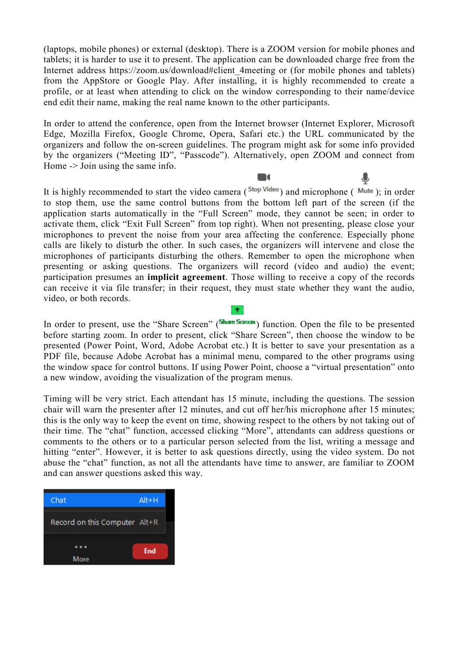(laptops, mobile phones) or external (desktop). There is a ZOOM version for mobile phones and tablets; it is harder to use it to present. The application can be downloaded charge free from the Internet address https://zoom.us/download#client 4meeting or (for mobile phones and tablets) from the AppStore or Google Play. After installing, it is highly recommended to create a profile, or at least when attending to click on the window corresponding to their name/device end edit their name, making the real name known to the other participants.

In order to attend the conference, open from the Internet browser (Internet Explorer, Microsoft Edge, Mozilla Firefox, Google Chrome, Opera, Safari etc.) the URL communicated by the organizers and follow the on-screen guidelines. The program might ask for some info provided by the organizers ("Meeting ID", "Passcode"). Alternatively, open ZOOM and connect from Home -> Join using the same info.

 $\blacksquare$ 

It is highly recommended to start the video camera ( $^{Stop Video}$ ) and microphone ( $\overline{Mute}$ ); in order to stop them, use the same control buttons from the bottom left part of the screen (if the application starts automatically in the "Full Screen" mode, they cannot be seen; in order to activate them, click "Exit Full Screen" from top right). When not presenting, please close your microphones to prevent the noise from your area affecting the conference. Especially phone calls are likely to disturb the other. In such cases, the organizers will intervene and close the microphones of participants disturbing the others. Remember to open the microphone when presenting or asking questions. The organizers will record (video and audio) the event; participation presumes an **implicit agreement**. Those willing to receive a copy of the records can receive it via file transfer; in their request, they must state whether they want the audio, video, or both records.

In order to present, use the "Share Screen" (Share Screen") function. Open the file to be presented before starting zoom. In order to present, click "Share Screen", then choose the window to be presented (Power Point, Word, Adobe Acrobat etc.) It is better to save your presentation as a PDF file, because Adobe Acrobat has a minimal menu, compared to the other programs using the window space for control buttons. If using Power Point, choose a "virtual presentation" onto a new window, avoiding the visualization of the program menus.

Timing will be very strict. Each attendant has 15 minute, including the questions. The session chair will warn the presenter after 12 minutes, and cut off her/his microphone after 15 minutes; this is the only way to keep the event on time, showing respect to the others by not taking out of their time. The "chat" function, accessed clicking "More", attendants can address questions or comments to the others or to a particular person selected from the list, writing a message and hitting "enter". However, it is better to ask questions directly, using the video system. Do not abuse the "chat" function, as not all the attendants have time to answer, are familiar to ZOOM and can answer questions asked this way.

| Chat                          | $Alt + H$ |  |
|-------------------------------|-----------|--|
| Record on this Computer Alt+R |           |  |
|                               | End       |  |
| More                          |           |  |